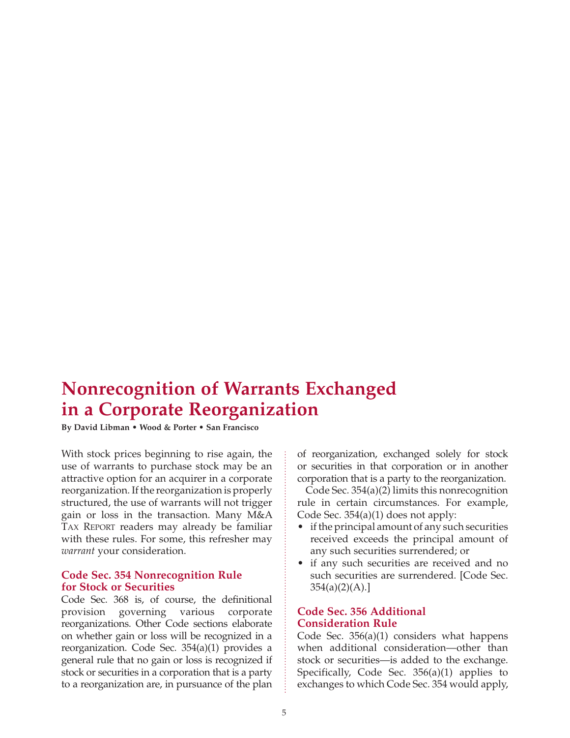# **Nonrecognition of Warrants Exchanged in a Corporate Reorganization**

**By David Libman • Wood & Porter • San Francisco**

With stock prices beginning to rise again, the use of warrants to purchase stock may be an attractive option for an acquirer in a corporate reorganization. If the reorganization is properly structured, the use of warrants will not trigger gain or loss in the transaction. Many M&A TAX REPORT readers may already be familiar with these rules. For some, this refresher may *warrant* your consideration.

#### **Code Sec. 354 Nonrecognition Rule for Stock or Securities**

Code Sec. 368 is, of course, the definitional provision governing various corporate reorganizations. Other Code sections elaborate on whether gain or loss will be recognized in a reorganization. Code Sec. 354(a)(1) provides a general rule that no gain or loss is recognized if stock or securities in a corporation that is a party to a reorganization are, in pursuance of the plan of reorganization, exchanged solely for stock or securities in that corporation or in another corporation that is a party to the reorganization.

Code Sec. 354(a)(2) limits this nonrecognition rule in certain circumstances. For example, Code Sec. 354(a)(1) does not apply:

- if the principal amount of any such securities received exceeds the principal amount of any such securities surrendered; or
- if any such securities are received and no such securities are surrendered. [Code Sec.  $354(a)(2)(A).$ ]

## **Code Sec. 356 Additional Consideration Rule**

Code Sec. 356(a)(1) considers what happens when additional consideration—other than stock or securities—is added to the exchange. Specifically, Code Sec. 356(a)(1) applies to exchanges to which Code Sec. 354 would apply,